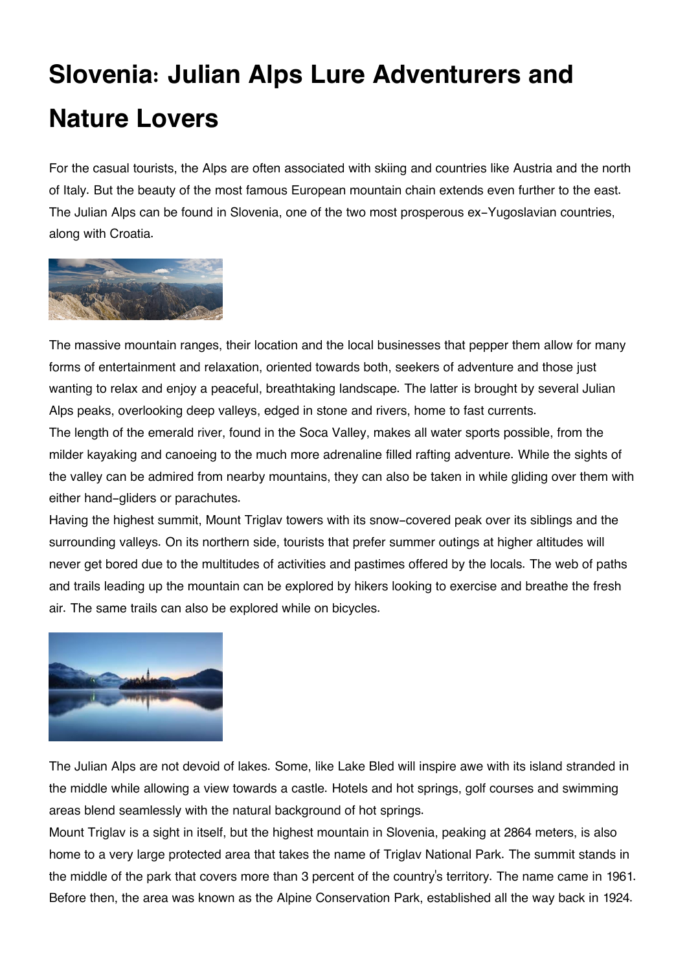## **Slovenia: Julian Alps Lure Adventurers and Nature Lovers**

For the casual tourists, the Alps are often associated with skiing and countries like Austria and the north of Italy. But the beauty of the most famous European mountain chain extends even further to the east. The Julian Alps can be found in Slovenia, one of the two most prosperous ex-Yugoslavian countries, along with Croatia.



The massive mountain ranges, their location and the local businesses that pepper them allow for many forms of entertainment and relaxation, oriented towards both, seekers of adventure and those just wanting to relax and enjoy a peaceful, breathtaking landscape. The latter is brought by several Julian Alps peaks, overlooking deep valleys, edged in stone and rivers, home to fast currents. The length of the emerald river, found in the Soca Valley, makes all water sports possible, from the milder kayaking and canoeing to the much more adrenaline filled rafting adventure. While the sights of the valley can be admired from nearby mountains, they can also be taken in while gliding over them with either hand-gliders or parachutes.

Having the highest summit, Mount Triglav towers with its snow-covered peak over its siblings and the surrounding valleys. On its northern side, tourists that prefer summer outings at higher altitudes will never get bored due to the multitudes of activities and pastimes offered by the locals. The web of paths and trails leading up the mountain can be explored by hikers looking to exercise and breathe the fresh air. The same trails can also be explored while on bicycles.



The Julian Alps are not devoid of lakes. Some, like Lake Bled will inspire awe with its island stranded in the middle while allowing a view towards a castle. Hotels and hot springs, golf courses and swimming areas blend seamlessly with the natural background of hot springs.

Mount Triglav is a sight in itself, but the highest mountain in Slovenia, peaking at 2864 meters, is also home to a very large protected area that takes the name of Triglav National Park. The summit stands in the middle of the park that covers more than 3 percent of the country's territory. The name came in 1961. Before then, the area was known as the Alpine Conservation Park, established all the way back in 1924.